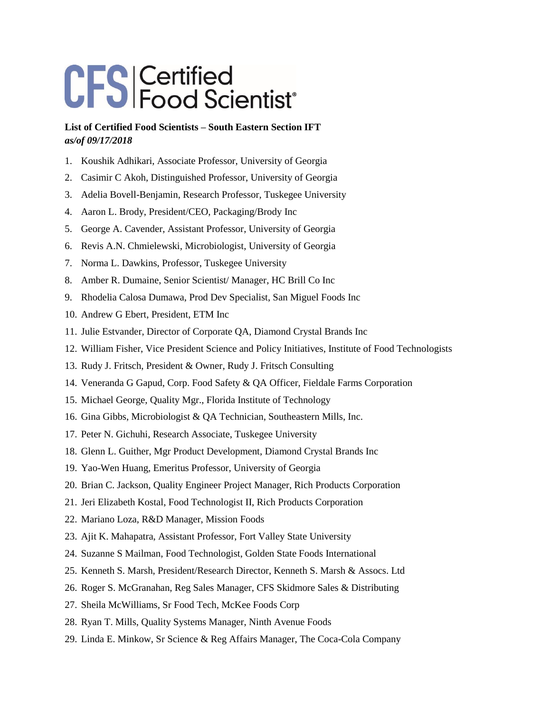## CFS Certified<br>CFS Food Scientist®

## **List of Certified Food Scientists – South Eastern Section IFT**  *as/of 09/17/2018*

- 1. Koushik Adhikari, Associate Professor, University of Georgia
- 2. Casimir C Akoh, Distinguished Professor, University of Georgia
- 3. Adelia Bovell-Benjamin, Research Professor, Tuskegee University
- 4. Aaron L. Brody, President/CEO, Packaging/Brody Inc
- 5. George A. Cavender, Assistant Professor, University of Georgia
- 6. Revis A.N. Chmielewski, Microbiologist, University of Georgia
- 7. Norma L. Dawkins, Professor, Tuskegee University
- 8. Amber R. Dumaine, Senior Scientist/ Manager, HC Brill Co Inc
- 9. Rhodelia Calosa Dumawa, Prod Dev Specialist, San Miguel Foods Inc
- 10. Andrew G Ebert, President, ETM Inc
- 11. Julie Estvander, Director of Corporate QA, Diamond Crystal Brands Inc
- 12. William Fisher, Vice President Science and Policy Initiatives, Institute of Food Technologists
- 13. Rudy J. Fritsch, President & Owner, Rudy J. Fritsch Consulting
- 14. Veneranda G Gapud, Corp. Food Safety & QA Officer, Fieldale Farms Corporation
- 15. Michael George, Quality Mgr., Florida Institute of Technology
- 16. Gina Gibbs, Microbiologist & QA Technician, Southeastern Mills, Inc.
- 17. Peter N. Gichuhi, Research Associate, Tuskegee University
- 18. Glenn L. Guither, Mgr Product Development, Diamond Crystal Brands Inc
- 19. Yao-Wen Huang, Emeritus Professor, University of Georgia
- 20. Brian C. Jackson, Quality Engineer Project Manager, Rich Products Corporation
- 21. Jeri Elizabeth Kostal, Food Technologist II, Rich Products Corporation
- 22. Mariano Loza, R&D Manager, Mission Foods
- 23. Ajit K. Mahapatra, Assistant Professor, Fort Valley State University
- 24. Suzanne S Mailman, Food Technologist, Golden State Foods International
- 25. Kenneth S. Marsh, President/Research Director, Kenneth S. Marsh & Assocs. Ltd
- 26. Roger S. McGranahan, Reg Sales Manager, CFS Skidmore Sales & Distributing
- 27. Sheila McWilliams, Sr Food Tech, McKee Foods Corp
- 28. Ryan T. Mills, Quality Systems Manager, Ninth Avenue Foods
- 29. Linda E. Minkow, Sr Science & Reg Affairs Manager, The Coca-Cola Company